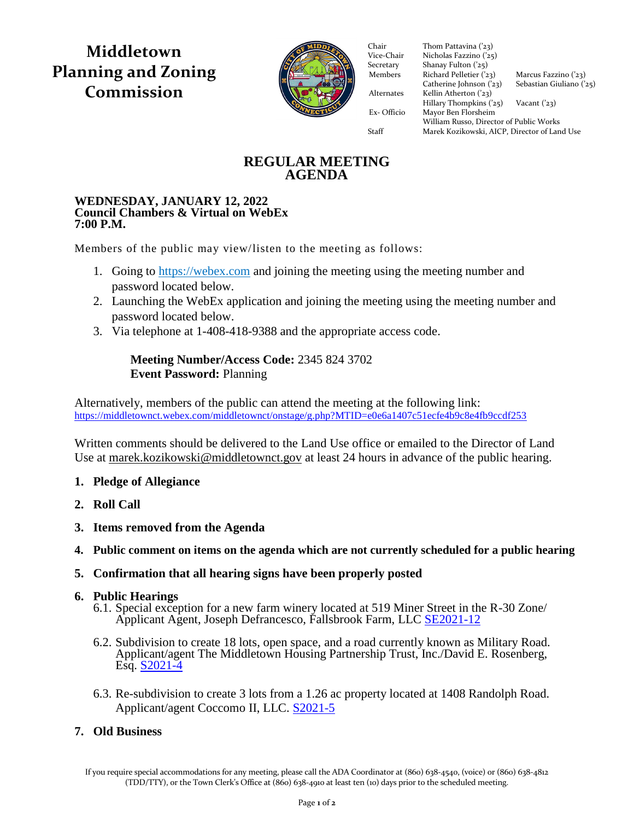**Middletown Planning and Zoning Commission**



Vice-Chair Nicholas Fazzino ('25) Secretary Shanay Fulton ('25) Members Richard Pelletier  $(23)$  Marcus Fazzino  $(23)$ Catherine Johnson  $(23)$  Sebastian Giuliano  $(25)$ Alternates Kellin Atherton  $(23)$  $Hillary Thompson (25)$  Vacant ('23) Ex- Officio Mayor Ben Florsheim Ex- Officio Mayor Ben Florsheim Chair Thom Pattavina ('23)<br>Vice-Chair Nicholas Fazzino ('25 William Russo, Director of Public Works Staff Marek Kozikowski, AICP, Director of Land Use

# **REGULAR MEETING AGENDA**

### **WEDNESDAY, JANUARY 12, 2022 Council Chambers & Virtual on WebEx 7:00 P.M.**

Members of the public may view/listen to the meeting as follows:

- 1. Going to [https://webex.com](https://webex.com/) and joining the meeting using the meeting number and password located below.
- 2. Launching the WebEx application and joining the meeting using the meeting number and password located below.
- 3. Via telephone at 1-408-418-9388 and the appropriate access code.

# **Meeting Number/Access Code:** 2345 824 3702 **Event Password:** Planning

Alternatively, members of the public can attend the meeting at the following link: <https://middletownct.webex.com/middletownct/onstage/g.php?MTID=e0e6a1407c51ecfe4b9c8e4fb9ccdf253>

Written comments should be delivered to the Land Use office or emailed to the Director of Land Use at [marek.kozikowski@middletownct.gov](mailto:marek.kozikowski@middletownct.gov) at least 24 hours in advance of the public hearing.

## **1. Pledge of Allegiance**

- **2. Roll Call**
- **3. Items removed from the Agenda**
- **4. Public comment on items on the agenda which are not currently scheduled for a public hearing**

## **5. Confirmation that all hearing signs have been properly posted**

## **6. Public Hearings**

- 6.1. Special exception for a new farm winery located at 519 Miner Street in the R-30 Zone/ Applicant Agent, Joseph Defrancesco, Fallsbrook Farm, LLC [SE2021-12](https://middletownct.box.com/s/stk121rel15cyuw24lgvdq7fetw040qw)
- 6.2. Subdivision to create 18 lots, open space, and a road currently known as Military Road. Applicant/agent The Middletown Housing Partnership Trust, Inc./David E. Rosenberg, Esq. [S2021-4](https://middletownct.box.com/s/bm3saszxawhq5qiwydlptt2sh2wvy28x)
- 6.3. Re-subdivision to create 3 lots from a 1.26 ac property located at 1408 Randolph Road. Applicant/agent Coccomo II, LLC. [S2021-5](https://middletownct.box.com/s/norphrrc5sype10rok64qeiymj24ncyf)

# **7. Old Business**

If you require special accommodations for any meeting, please call the ADA Coordinator at (860) 638-4540, (voice) or (860) 638-4812 (TDD/TTY), or the Town Clerk's Office at (860) 638-4910 at least ten (10) days prior to the scheduled meeting.